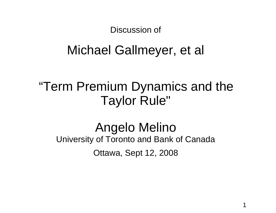Discussion of

# Michael Gallmeyer, et al

# "Term Premium Dynamics and the Taylor Rule"

## Angelo Melino University of Toronto and Bank of Canada Ottawa, Sept 12, 2008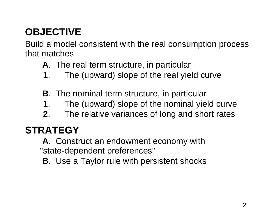## **OBJECTIVE**

Build <sup>a</sup> model consistent with the real consumption process that matches

- **A**. The real term structure, in particular
- **1**. The (upward) slope of the real yield curve
- **B**. The nominal term structure, in particular
- **1**. The (upward) slope of the nominal yield curve
- **2**. The relative variances of long and short rates

## **STRATEGY**

**A**. Construct an endowment economy with "state-dependent preferences"

**B**. Use <sup>a</sup> Taylor rule with persistent shocks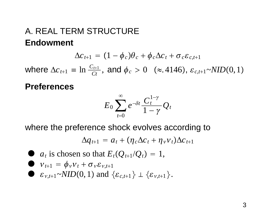### A. REAL TERM STRUCTURE **Endowment**

$$
\Delta c_{t+1} = (1 - \phi_c)\theta_c + \phi_c\Delta c_t + \sigma_c \varepsilon_{c,t+1}
$$

where  $\Delta c_{t+1} \equiv \ln \frac{C_{t+1}}{Ct}$ , and  $\phi_c > 0$  (≈.4146),  $\varepsilon_{c,t+1}$ ~*NID*(0,1)

#### **Preferences**

$$
E_0\sum_{t=0}^\infty e^{-\delta t}\frac{C_t^{1-\gamma}}{1-\gamma}\mathcal{Q}_t
$$

where the preference shock evolves according to

$$
\Delta q_{t+1} = a_t + (\eta_c \Delta c_t + \eta_v v_t) \Delta c_{t+1}
$$

\n- \n
$$
a_t
$$
 is chosen so that  $E_t(Q_{t+1}/Q_t) = 1$ ,\n
\n- \n $v_{t+1} = \phi_v v_t + \sigma_v \varepsilon_{v,t+1}$ \n
\n- \n $\varepsilon_{v,t+1} \sim NID(0, 1)$  and  $\{\varepsilon_{c,t+1}\} \perp \{\varepsilon_{v,t+1}\}.$ \n
\n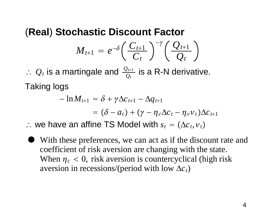### (**Real**) **Stochastic Discount Factor**  $\boldsymbol{M}_{t+1}$  $e^{-\delta}\bigg(\frac{C_{t+1}}{C_t}\bigg)^{-\gamma}\bigg(\frac{\mathcal{Q}_{t+1}}{\mathcal{Q}_{t}}\bigg)$

∴.<br>•  $Q_t$  is a martingale and  $\frac{Q_{t+1}}{Q_t}$  is a R-N derivative. Taking logs

$$
-\ln M_{t+1} = \delta + \gamma \Delta c_{t+1} - \Delta q_{t+1}
$$
  
=  $(\delta - a_t) + (\gamma - \eta_c \Delta c_t - \eta_v v_t) \Delta c_{t+1}$ 

∴ we have an affine TS Model with  $s_t = (\Delta c_t, v_t)$ 

 $\bullet$  With these preferences, we can act as if the discount rate and coefficient of risk aversion are changing with the state. When  $\eta_c < 0$ , risk aversion is countercyclical (high risk aversion in recessions/(period with low  $\Delta c_t$ )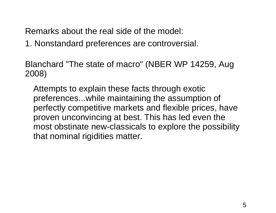Remarks about the real side of the model:

1. Nonstandard preferences are controversial.

Blanchard "The state of macro" (NBER WP 14259, Aug 2008)

Attempts to explain these facts through exotic preferences...while maintaining the assumption of perfectly competitive markets and flexible prices, have proven unconvincing at best. This has led even the most obstinate new-classicals to explore the possibility that nominal rigidities matter.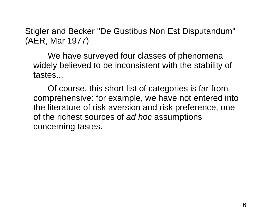Stigler and Becker "De Gustibus Non Est Disputandum" (AER, Mar 1977)

We have surveyed four classes of phenomena widely believed to be inconsistent with the stability of tastes...

Of course, this short list of categories is far from comprehensive: for example, we have not entered into the literature of risk aversion and risk preference, one of the richest sources of *ad hoc* assumptions concerning tastes.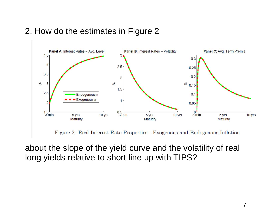

#### 2. How do the estimates in Figure 2

about the slope of the yield curve and the volatility of real long yields relative to short line up with TIPS?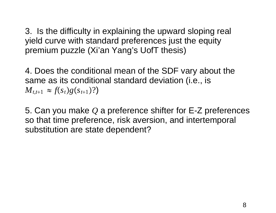3. Is the difficulty in explaining the upward sloping real yield curve with standard preferences just the equity premium puzzle (Xi'an Yang's UofT thesis)

4. Does the conditional mean of the SDF vary about the same as its conditional standard deviation (i.e., is  $M_{t,t+1} \approx f(s_t)g(s_{t+1})$ ?

5. Can you make *Q* <sup>a</sup> preference shifter for E-Z preferences so that time preference, risk aversion, and intertemporal substitution are state dependent?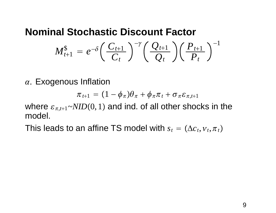### **Nominal Stochastic Discount Factor**

$$
M_{t+1}^{\$} = e^{-\delta} \left( \frac{C_{t+1}}{C_t} \right)^{-\gamma} \left( \frac{Q_{t+1}}{Q_t} \right) \left( \frac{P_{t+1}}{P_t} \right)^{-1}
$$

 $\alpha$ . Exogenous Inflation

$$
\pi_{t+1} = (1 - \phi_{\pi})\theta_{\pi} + \phi_{\pi}\pi_{t} + \sigma_{\pi}\varepsilon_{\pi,t+1}
$$

where  $\varepsilon_{\pi, t+1}$ ~ $NID(0, 1)$  and ind. of all other shocks in the model.

This leads to an affine TS model with  $s_t = (\Delta c_t, {\nu}_t, {\pi}_t)$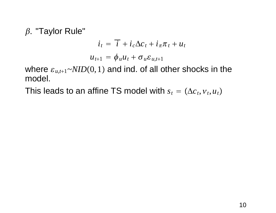$\beta$ . "Taylor Rule"

$$
i_t = \overline{i} + i_c \Delta c_t + i_{\pi} \pi_t + u_t
$$
  

$$
u_{t+1} = \phi_u u_t + \sigma_u \varepsilon_{u,t+1}
$$

where  $\varepsilon_{u,t+1}{\sim}NID(0,1)$  and ind. of all other shocks in the model.

This leads to an affine TS model with  $s_t = (\Delta c_t, v_t, u_t)$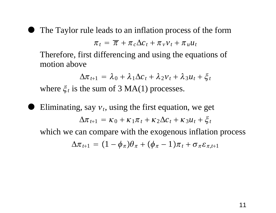$\bullet$ 

The Taylor rule leads to an inflation process of the form

$$
\pi_t = \overline{\pi} + \pi_c \Delta c_t + \pi_v v_t + \pi_u u_t
$$

Therefore, first differencing and using the equations of motion above

$$
\Delta \pi_{t+1} = \lambda_0 + \lambda_1 \Delta c_t + \lambda_2 v_t + \lambda_3 u_t + \xi_t
$$

where  $\xi_t$  is the sum of 3 MA(1) processes.

 $\bullet$ Eliminating, say  $v_t$ , using the first equation, we get  $\Delta \pi_{t+1} = \kappa_0 + \kappa_1 \pi_t + \kappa_2 \Delta c_t + \kappa_3 u_t + \xi_t$ which we can compare with the exogenous inflation process  $\Delta\pi_{\,t+1} \,=\, (1-\phi_\pi)\theta_\pi + (\phi_\pi-1)\pi_{\,t} + \sigma_\pi\varepsilon_{\pi,t+1}$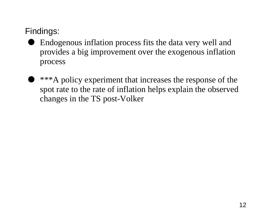Findings:

- $\bullet$  Endogenous inflation process fits the data very well and provides <sup>a</sup> big improvement over the exogenous inflation process
- $\bullet$  \*\*\*A policy experiment that increases the response of the spo<sup>t</sup> rate to the rate of inflation helps explain the observed changes in the TS post-Volker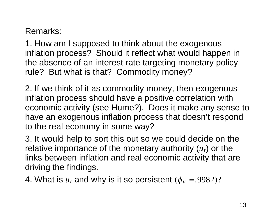#### Remarks:

1. How am I supposed to think about the exogenous inflation process? Should it reflect what would happen in the absence of an interest rate targeting monetary policy rule? But what is that? Commodity money?

2. If we think of it as commodity money, then exogenous inflation process should have <sup>a</sup> positive correlation with economic activity (see Hume?). Does it make any sense to have an exogenous inflation process that doesn't respond to the real economy in some way?

3. It would help to sort this out so we could decide on the relative importance of the monetary authority  $(u_t)$  or the links between inflation and real economic activity that are driving the findings.

4. What is  $u_t$  and why is it so persistent  $(\phi_u = 9982)?$